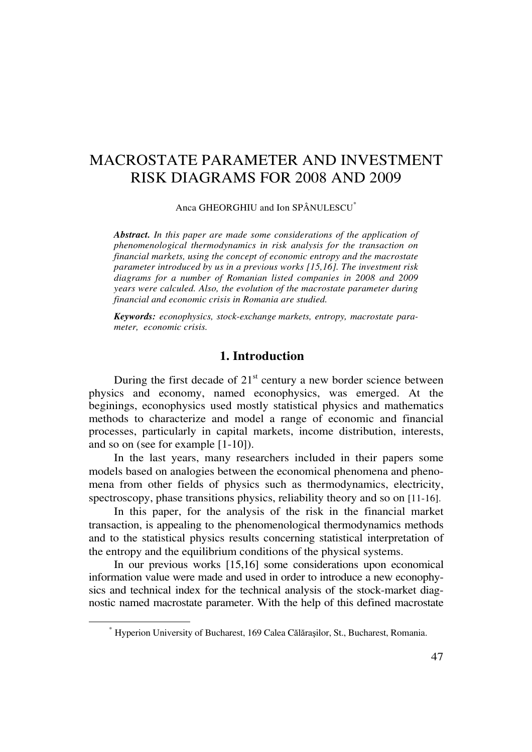# MACROSTATE PARAMETER AND INVESTMENT RISK DIAGRAMS FOR 2008 AND 2009

Anca GHEORGHIU and Ion SPÂNULESCU\*

*Abstract. In this paper are made some considerations of the application of phenomenological thermodynamics in risk analysis for the transaction on financial markets, using the concept of economic entropy and the macrostate parameter introduced by us in a previous works [15,16]. The investment risk diagrams for a number of Romanian listed companies in 2008 and 2009 years were calculed. Also, the evolution of the macrostate parameter during financial and economic crisis in Romania are studied.* 

*Keywords: econophysics, stock-exchange markets, entropy, macrostate parameter, economic crisis.* 

#### **1. Introduction**

During the first decade of  $21<sup>st</sup>$  century a new border science between physics and economy, named econophysics, was emerged. At the beginings, econophysics used mostly statistical physics and mathematics methods to characterize and model a range of economic and financial processes, particularly in capital markets, income distribution, interests, and so on (see for example [1-10]).

In the last years, many researchers included in their papers some models based on analogies between the economical phenomena and phenomena from other fields of physics such as thermodynamics, electricity, spectroscopy, phase transitions physics, reliability theory and so on [11-16].

In this paper, for the analysis of the risk in the financial market transaction, is appealing to the phenomenological thermodynamics methods and to the statistical physics results concerning statistical interpretation of the entropy and the equilibrium conditions of the physical systems.

In our previous works [15,16] some considerations upon economical information value were made and used in order to introduce a new econophysics and technical index for the technical analysis of the stock-market diagnostic named macrostate parameter. With the help of this defined macrostate

 $\overline{a}$ 

<sup>\*</sup> Hyperion University of Bucharest, 169 Calea Călăraşilor, St., Bucharest, Romania.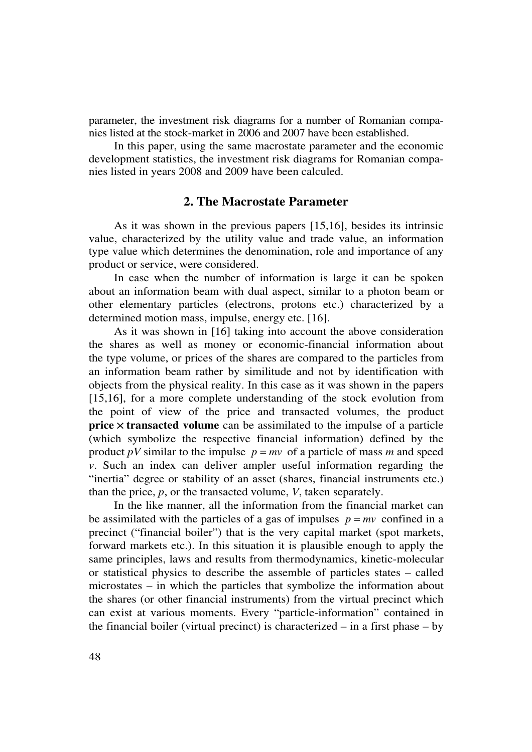parameter, the investment risk diagrams for a number of Romanian companies listed at the stock-market in 2006 and 2007 have been established.

In this paper, using the same macrostate parameter and the economic development statistics, the investment risk diagrams for Romanian companies listed in years 2008 and 2009 have been calculed.

### **2. The Macrostate Parameter**

As it was shown in the previous papers [15,16], besides its intrinsic value, characterized by the utility value and trade value, an information type value which determines the denomination, role and importance of any product or service, were considered.

In case when the number of information is large it can be spoken about an information beam with dual aspect, similar to a photon beam or other elementary particles (electrons, protons etc.) characterized by a determined motion mass, impulse, energy etc. [16].

As it was shown in [16] taking into account the above consideration the shares as well as money or economic-financial information about the type volume, or prices of the shares are compared to the particles from an information beam rather by similitude and not by identification with objects from the physical reality. In this case as it was shown in the papers [15,16], for a more complete understanding of the stock evolution from the point of view of the price and transacted volumes, the product **price**  $\times$  **transacted volume** can be assimilated to the impulse of a particle (which symbolize the respective financial information) defined by the product *pV* similar to the impulse  $p = mv$  of a particle of mass *m* and speed *v*. Such an index can deliver ampler useful information regarding the "inertia" degree or stability of an asset (shares, financial instruments etc.) than the price, *p*, or the transacted volume, *V*, taken separately.

In the like manner, all the information from the financial market can be assimilated with the particles of a gas of impulses  $p = mv$  confined in a precinct ("financial boiler") that is the very capital market (spot markets, forward markets etc.). In this situation it is plausible enough to apply the same principles, laws and results from thermodynamics, kinetic-molecular or statistical physics to describe the assemble of particles states – called microstates – in which the particles that symbolize the information about the shares (or other financial instruments) from the virtual precinct which can exist at various moments. Every "particle-information" contained in the financial boiler (virtual precinct) is characterized – in a first phase – by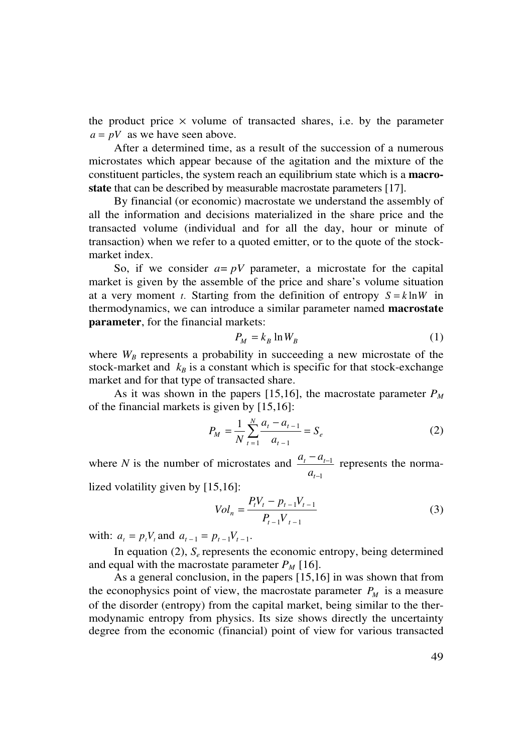the product price  $\times$  volume of transacted shares, i.e. by the parameter  $a = pV$  as we have seen above.

After a determined time, as a result of the succession of a numerous microstates which appear because of the agitation and the mixture of the constituent particles, the system reach an equilibrium state which is a **macrostate** that can be described by measurable macrostate parameters [17].

By financial (or economic) macrostate we understand the assembly of all the information and decisions materialized in the share price and the transacted volume (individual and for all the day, hour or minute of transaction) when we refer to a quoted emitter, or to the quote of the stockmarket index.

So, if we consider  $a = pV$  parameter, a microstate for the capital market is given by the assemble of the price and share's volume situation at a very moment *t*. Starting from the definition of entropy  $S = k \ln W$  in thermodynamics, we can introduce a similar parameter named **macrostate parameter**, for the financial markets:

$$
P_M = k_B \ln W_B \tag{1}
$$

where  $W_B$  represents a probability in succeeding a new microstate of the stock-market and  $k_B$  is a constant which is specific for that stock-exchange market and for that type of transacted share.

As it was shown in the papers [15,16], the macrostate parameter  $P_M$ of the financial markets is given by [15,16]:

$$
P_M = \frac{1}{N} \sum_{t=1}^{N} \frac{a_t - a_{t-1}}{a_{t-1}} = S_e
$$
 (2)

where *N* is the number of microstates and 1 1 −  $-a_{t-}$ *t*  $\boldsymbol{u}_t$   $\boldsymbol{u}_t$ *a*  $a_t - a_{t-1}$  represents the norma-

lized volatility given by [15,16]:

$$
Vol_n = \frac{P_t V_t - p_{t-1} V_{t-1}}{P_{t-1} V_{t-1}}
$$
\n(3)

with:  $a_t = p_t V_t$  and  $a_{t-1} = p_{t-1} V_{t-1}$ .

In equation (2),  $S_e$  represents the economic entropy, being determined and equal with the macrostate parameter  $P_M$  [16].

As a general conclusion, in the papers [15,16] in was shown that from the econophysics point of view, the macrostate parameter  $P_M$  is a measure of the disorder (entropy) from the capital market, being similar to the thermodynamic entropy from physics. Its size shows directly the uncertainty degree from the economic (financial) point of view for various transacted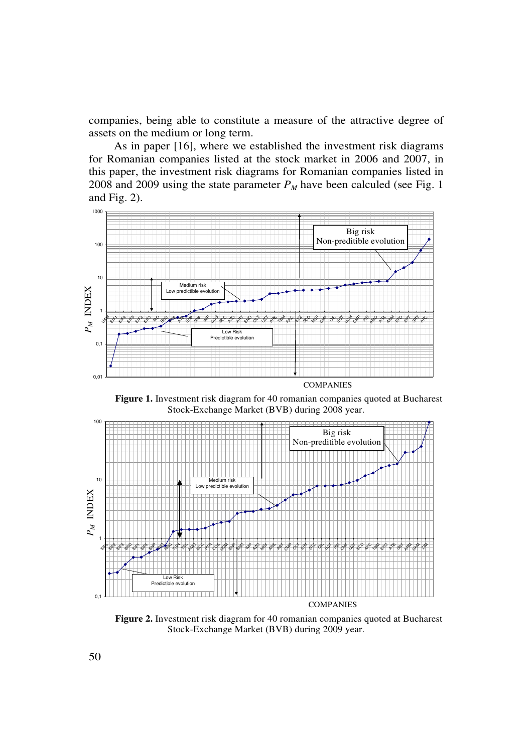companies, being able to constitute a measure of the attractive degree of assets on the medium or long term.

As in paper [16], where we established the investment risk diagrams for Romanian companies listed at the stock market in 2006 and 2007, in this paper, the investment risk diagrams for Romanian companies listed in 2008 and 2009 using the state parameter  $P_M$  have been calculed (see Fig. 1) and Fig. 2).



**Figure 1.** Investment risk diagram for 40 romanian companies quoted at Bucharest Stock-Exchange Market (BVB) during 2008 year.



**Figure 2.** Investment risk diagram for 40 romanian companies quoted at Bucharest Stock-Exchange Market (BVB) during 2009 year.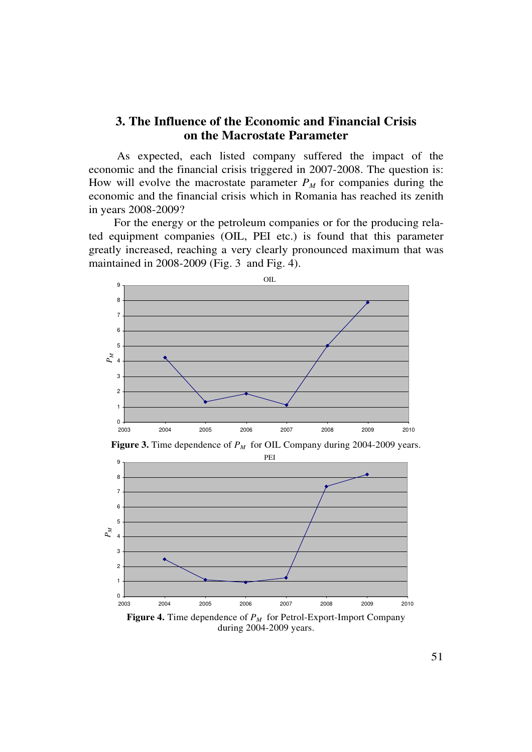## **3. The Influence of the Economic and Financial Crisis on the Macrostate Parameter**

 As expected, each listed company suffered the impact of the economic and the financial crisis triggered in 2007-2008. The question is: How will evolve the macrostate parameter  $P_M$  for companies during the economic and the financial crisis which in Romania has reached its zenith in years 2008-2009?

For the energy or the petroleum companies or for the producing related equipment companies (OIL, PEI etc.) is found that this parameter greatly increased, reaching a very clearly pronounced maximum that was maintained in 2008-2009 (Fig. 3 and Fig. 4).



**Figure 3.** Time dependence of  $P_M$  for OIL Company during 2004-2009 years.



during 2004-2009 years.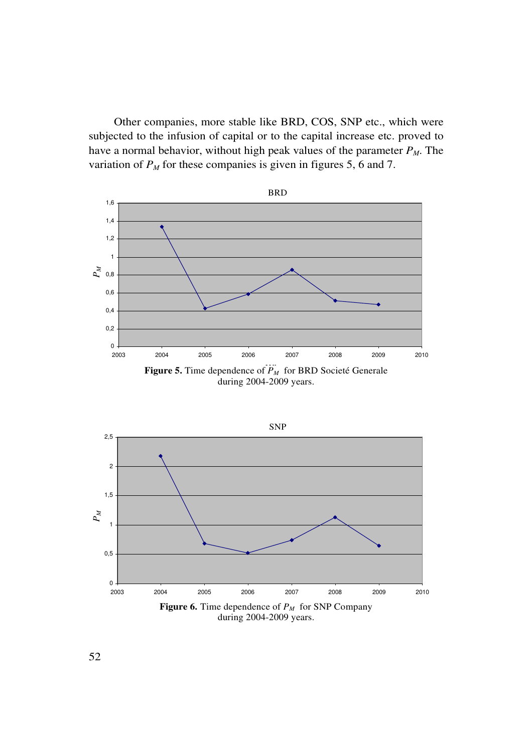Other companies, more stable like BRD, COS, SNP etc., which were subjected to the infusion of capital or to the capital increase etc. proved to have a normal behavior, without high peak values of the parameter  $P_M$ . The variation of  $P<sub>M</sub>$  for these companies is given in figures 5, 6 and 7.



during 2004-2009 years.



**Figure 6.** Time dependence of *PM* for SNP Company during 2004-2009 years.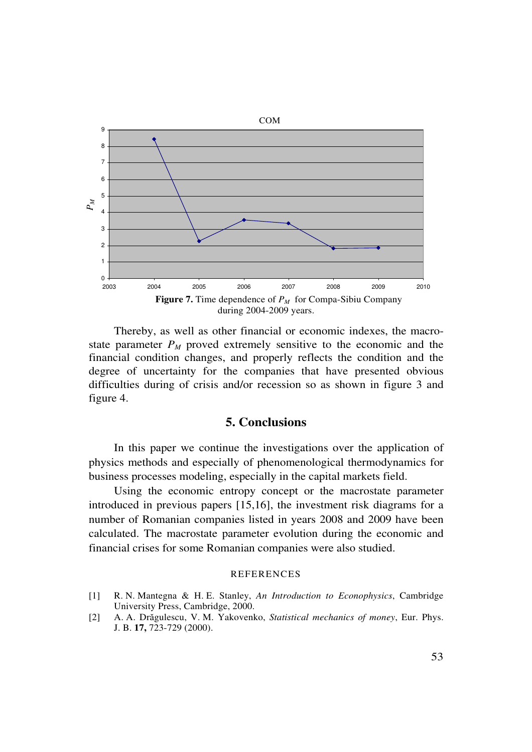

Thereby, as well as other financial or economic indexes, the macrostate parameter  $P_M$  proved extremely sensitive to the economic and the financial condition changes, and properly reflects the condition and the degree of uncertainty for the companies that have presented obvious difficulties during of crisis and/or recession so as shown in figure 3 and figure 4.

### **5. Conclusions**

In this paper we continue the investigations over the application of physics methods and especially of phenomenological thermodynamics for business processes modeling, especially in the capital markets field.

Using the economic entropy concept or the macrostate parameter introduced in previous papers [15,16], the investment risk diagrams for a number of Romanian companies listed in years 2008 and 2009 have been calculated. The macrostate parameter evolution during the economic and financial crises for some Romanian companies were also studied.

#### REFERENCES

- [1] R. N. Mantegna & H. E. Stanley, *An Introduction to Econophysics*, Cambridge University Press, Cambridge, 2000.
- [2] A. A. Drăgulescu, V. M. Yakovenko, *Statistical mechanics of money*, Eur. Phys. J. B. **17,** 723-729 (2000).